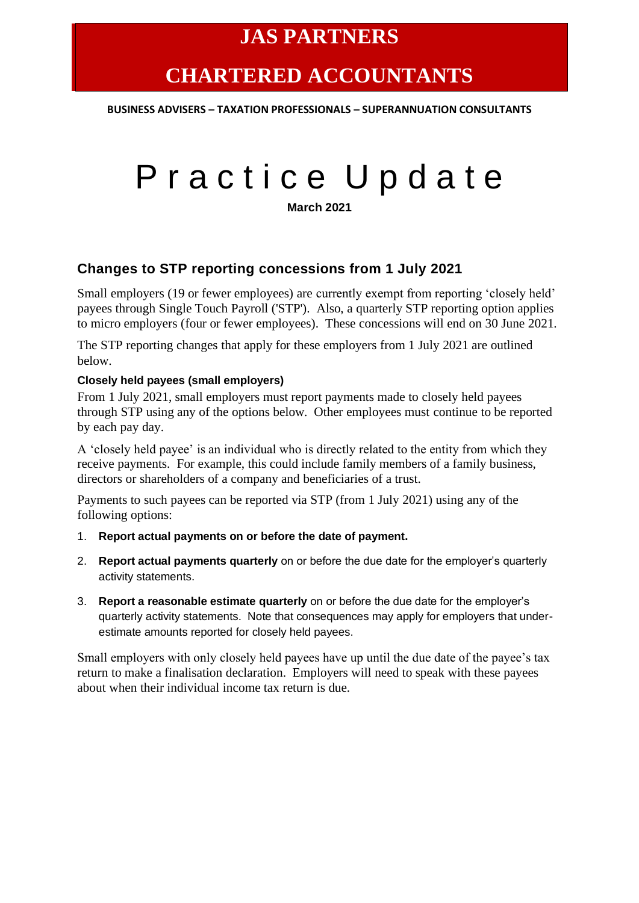# **CHARTERED ACCOUNTANTS**

**BUSINESS ADVISERS – TAXATION PROFESSIONALS – SUPERANNUATION CONSULTANTS**

# Practice Update

**March 2021**

### **Changes to STP reporting concessions from 1 July 2021**

Small employers (19 or fewer employees) are currently exempt from reporting 'closely held' payees through Single Touch Payroll ('STP'). Also, a quarterly STP reporting option applies to micro employers (four or fewer employees). These concessions will end on 30 June 2021.

The STP reporting changes that apply for these employers from 1 July 2021 are outlined below.

#### **Closely held payees (small employers)**

From 1 July 2021, small employers must report payments made to closely held payees through STP using any of the options below. Other employees must continue to be reported by each pay day.

A 'closely held payee' is an individual who is directly related to the entity from which they receive payments. For example, this could include family members of a family business, directors or shareholders of a company and beneficiaries of a trust.

Payments to such payees can be reported via STP (from 1 July 2021) using any of the following options:

- 1. **Report actual payments on or before the date of payment.**
- 2. **Report actual payments quarterly** on or before the due date for the employer's quarterly activity statements.
- 3. **Report a reasonable estimate quarterly** on or before the due date for the employer's quarterly activity statements. Note that consequences may apply for employers that underestimate amounts reported for closely held payees.

Small employers with only closely held payees have up until the due date of the payee's tax return to make a finalisation declaration. Employers will need to speak with these payees about when their individual income tax return is due.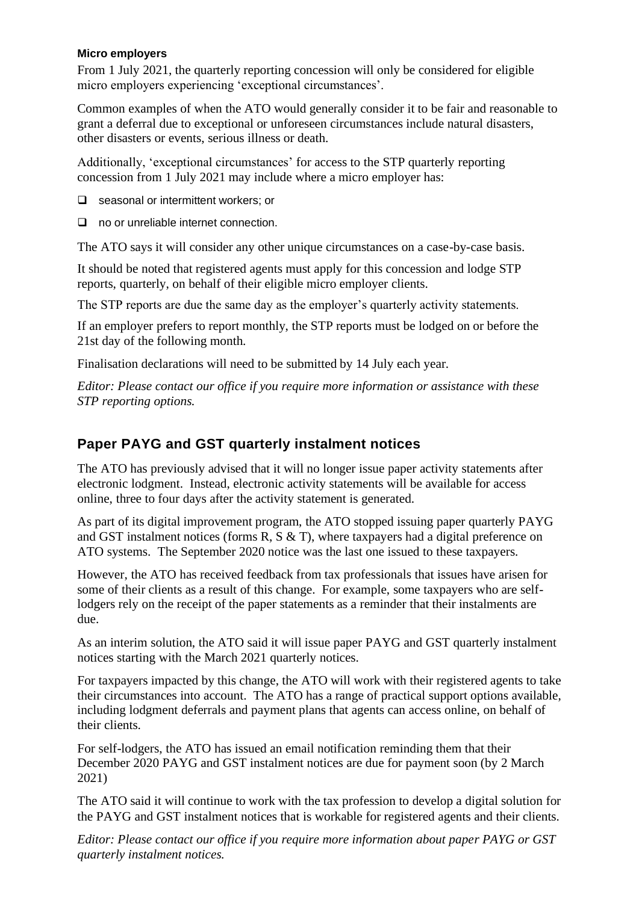#### **Micro employers**

From 1 July 2021, the quarterly reporting concession will only be considered for eligible micro employers experiencing 'exceptional circumstances'.

Common examples of when the ATO would generally consider it to be fair and reasonable to grant a deferral due to exceptional or unforeseen circumstances include natural disasters, other disasters or events, serious illness or death.

Additionally, 'exceptional circumstances' for access to the STP quarterly reporting concession from 1 July 2021 may include where a micro employer has:

❑ seasonal or intermittent workers; or

❑ no or unreliable internet connection.

The ATO says it will consider any other unique circumstances on a case-by-case basis.

It should be noted that registered agents must apply for this concession and lodge STP reports, quarterly, on behalf of their eligible micro employer clients.

The STP reports are due the same day as the employer's quarterly activity statements.

If an employer prefers to report monthly, the STP reports must be lodged on or before the 21st day of the following month.

Finalisation declarations will need to be submitted by 14 July each year.

*Editor: Please contact our office if you require more information or assistance with these STP reporting options.* 

## **Paper PAYG and GST quarterly instalment notices**

The ATO has previously advised that it will no longer issue paper activity statements after electronic lodgment. Instead, electronic activity statements will be available for access online, three to four days after the activity statement is generated.

As part of its digital improvement program, the ATO stopped issuing paper quarterly PAYG and GST instalment notices (forms R, S & T), where taxpayers had a digital preference on ATO systems. The September 2020 notice was the last one issued to these taxpayers.

However, the ATO has received feedback from tax professionals that issues have arisen for some of their clients as a result of this change. For example, some taxpayers who are selflodgers rely on the receipt of the paper statements as a reminder that their instalments are due.

As an interim solution, the ATO said it will issue paper PAYG and GST quarterly instalment notices starting with the March 2021 quarterly notices.

For taxpayers impacted by this change, the ATO will work with their registered agents to take their circumstances into account. The ATO has a range of practical support options available, including lodgment deferrals and payment plans that agents can access online, on behalf of their clients.

For self-lodgers, the ATO has issued an email notification reminding them that their December 2020 PAYG and GST instalment notices are due for payment soon (by 2 March 2021)

The ATO said it will continue to work with the tax profession to develop a digital solution for the PAYG and GST instalment notices that is workable for registered agents and their clients.

*Editor: Please contact our office if you require more information about paper PAYG or GST quarterly instalment notices.*